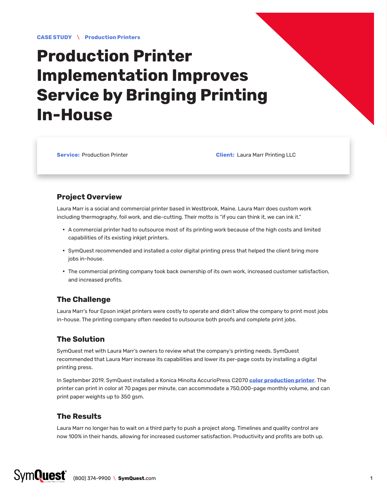**CASE STUDY** \ **Production Printers**

# **Production Printer Implementation Improves Service by Bringing Printing In-House**

**Service:** Production Printer **Client:** Laura Marr Printing LLC

### **Project Overview**

Laura Marr is a social and commercial printer based in Westbrook, Maine. Laura Marr does custom work including thermography, foil work, and die-cutting. Their motto is "if you can think it, we can ink it."

- A commercial printer had to outsource most of its printing work because of the high costs and limited capabilities of its existing inkjet printers.
- SymQuest recommended and installed a color digital printing press that helped the client bring more jobs in-house.
- The commercial printing company took back ownership of its own work, increased customer satisfaction, and increased profits.

## **The Challenge**

Laura Marr's four Epson inkjet printers were costly to operate and didn't allow the company to print most jobs in-house. The printing company often needed to outsource both proofs and complete print jobs.

## **The Solution**

SymQuest met with Laura Marr's owners to review what the company's printing needs. SymQuest recommended that Laura Marr increase its capabilities and lower its per-page costs by installing a digital printing press.

In September 2019, SymQuest installed a Konica Minolta AccurioPress C2070 **[color production printer](https://www.symquest.com/copiers-printers-mfps/production-printers/)**. The printer can print in color at 70 pages per minute, can accommodate a 750,000-page monthly volume, and can print paper weights up to 350 gsm.

## **The Results**

Laura Marr no longer has to wait on a third party to push a project along. Timelines and quality control are now 100% in their hands, allowing for increased customer satisfaction. Productivity and profits are both up.